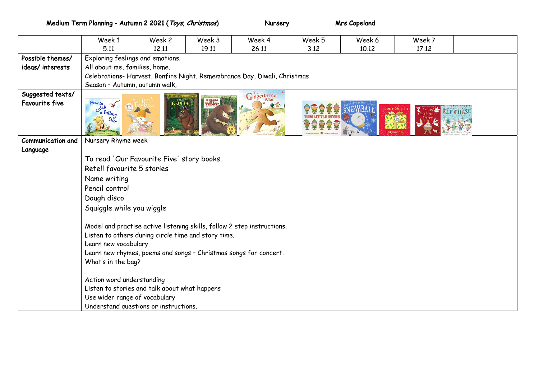Medium Term Planning - Autumn 2 2021 (*Toys, Christmas*) Nursery Mis Copeland

|                          | Week 1                                                                  | Week 2 | Week 3 | Week 4 | Week 5 | Week 6 | Week 7 |  |
|--------------------------|-------------------------------------------------------------------------|--------|--------|--------|--------|--------|--------|--|
|                          | 5.11                                                                    | 12.11  | 19.11  | 26.11  | 3.12   | 10.12  | 17.12  |  |
| Possible themes/         | Exploring feelings and emotions.                                        |        |        |        |        |        |        |  |
| ideas/interests          | All about me, families, home.                                           |        |        |        |        |        |        |  |
|                          | Celebrations-Harvest, Bonfire Night, Remembrance Day, Diwali, Christmas |        |        |        |        |        |        |  |
|                          | Season - Autumn, autumn walk,                                           |        |        |        |        |        |        |  |
| Suggested texts/         | $\mathbf{G}^{\text{The}}_{\text{Man}}$                                  |        |        |        |        |        |        |  |
| <b>Favourite five</b>    | WHERE'S TEDDY?<br><b>GRUFFALO</b><br>How to<br>$\sum_{i=1}^{n}$         |        |        |        |        |        |        |  |
|                          | Catch<br>Ca Falling                                                     |        |        |        |        |        |        |  |
|                          |                                                                         |        |        |        |        |        |        |  |
| <b>Communication and</b> | Nursery Rhyme week                                                      |        |        |        |        |        |        |  |
| Language                 |                                                                         |        |        |        |        |        |        |  |
|                          | To read 'Our Favourite Five' story books.                               |        |        |        |        |        |        |  |
|                          | Retell favourite 5 stories                                              |        |        |        |        |        |        |  |
|                          | Name writing                                                            |        |        |        |        |        |        |  |
|                          | Pencil control                                                          |        |        |        |        |        |        |  |
|                          | Dough disco                                                             |        |        |        |        |        |        |  |
|                          | Squiggle while you wiggle                                               |        |        |        |        |        |        |  |
|                          |                                                                         |        |        |        |        |        |        |  |
|                          | Model and practise active listening skills, follow 2 step instructions. |        |        |        |        |        |        |  |
|                          | Listen to others during circle time and story time.                     |        |        |        |        |        |        |  |
|                          | Learn new vocabulary                                                    |        |        |        |        |        |        |  |
|                          | Learn new rhymes, poems and songs - Christmas songs for concert.        |        |        |        |        |        |        |  |
|                          | What's in the bag?                                                      |        |        |        |        |        |        |  |
|                          | Action word understanding                                               |        |        |        |        |        |        |  |
|                          | Listen to stories and talk about what happens                           |        |        |        |        |        |        |  |
|                          | Use wider range of vocabulary                                           |        |        |        |        |        |        |  |
|                          | Understand questions or instructions.                                   |        |        |        |        |        |        |  |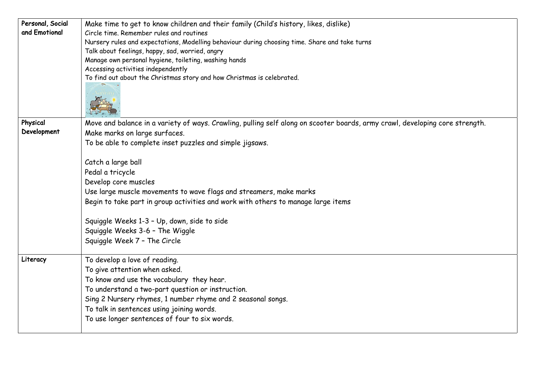| Personal, Social | Make time to get to know children and their family (Child's history, likes, dislike)                                         |  |  |  |  |  |  |
|------------------|------------------------------------------------------------------------------------------------------------------------------|--|--|--|--|--|--|
| and Emotional    | Circle time. Remember rules and routines                                                                                     |  |  |  |  |  |  |
|                  | Nursery rules and expectations, Modelling behaviour during choosing time. Share and take turns                               |  |  |  |  |  |  |
|                  | Talk about feelings, happy, sad, worried, angry                                                                              |  |  |  |  |  |  |
|                  | Manage own personal hygiene, toileting, washing hands                                                                        |  |  |  |  |  |  |
|                  | Accessing activities independently                                                                                           |  |  |  |  |  |  |
|                  | To find out about the Christmas story and how Christmas is celebrated.                                                       |  |  |  |  |  |  |
| Physical         | Move and balance in a variety of ways. Crawling, pulling self along on scooter boards, army crawl, developing core strength. |  |  |  |  |  |  |
| Development      | Make marks on large surfaces.                                                                                                |  |  |  |  |  |  |
|                  | To be able to complete inset puzzles and simple jigsaws.                                                                     |  |  |  |  |  |  |
|                  |                                                                                                                              |  |  |  |  |  |  |
|                  | Catch a large ball                                                                                                           |  |  |  |  |  |  |
|                  | Pedal a tricycle                                                                                                             |  |  |  |  |  |  |
|                  | Develop core muscles                                                                                                         |  |  |  |  |  |  |
|                  | Use large muscle movements to wave flags and streamers, make marks                                                           |  |  |  |  |  |  |
|                  | Begin to take part in group activities and work with others to manage large items                                            |  |  |  |  |  |  |
|                  | Squiggle Weeks 1-3 - Up, down, side to side                                                                                  |  |  |  |  |  |  |
|                  | Squiggle Weeks 3-6 - The Wiggle                                                                                              |  |  |  |  |  |  |
|                  | Squiggle Week 7 - The Circle                                                                                                 |  |  |  |  |  |  |
|                  |                                                                                                                              |  |  |  |  |  |  |
| Literacy         | To develop a love of reading.                                                                                                |  |  |  |  |  |  |
|                  | To give attention when asked.                                                                                                |  |  |  |  |  |  |
|                  | To know and use the vocabulary they hear.                                                                                    |  |  |  |  |  |  |
|                  | To understand a two-part question or instruction.                                                                            |  |  |  |  |  |  |
|                  | Sing 2 Nursery rhymes, 1 number rhyme and 2 seasonal songs.                                                                  |  |  |  |  |  |  |
|                  | To talk in sentences using joining words.                                                                                    |  |  |  |  |  |  |
|                  | To use longer sentences of four to six words.                                                                                |  |  |  |  |  |  |
|                  |                                                                                                                              |  |  |  |  |  |  |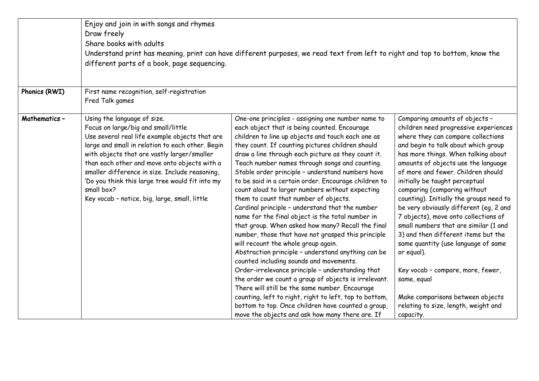|               | Enjoy and join in with songs and rhymes<br>Draw freely<br>Share books with adults<br>different parts of a book, page sequencing.                                                                                                                                                                                                                                                                                                            | Understand print has meaning, print can have different purposes, we read text from left to right and top to bottom, know the                                                                                                                                                                                                                                                                                                                                                                                                                                                                                                                                                                                                                                                                                                                                                                                                                                                                                                                                                                                                                                                                                          |                                                                                                                                                                                                                                                                                                                                                                                                                                                                                                                                                                                                                                                                                                                                                           |  |  |
|---------------|---------------------------------------------------------------------------------------------------------------------------------------------------------------------------------------------------------------------------------------------------------------------------------------------------------------------------------------------------------------------------------------------------------------------------------------------|-----------------------------------------------------------------------------------------------------------------------------------------------------------------------------------------------------------------------------------------------------------------------------------------------------------------------------------------------------------------------------------------------------------------------------------------------------------------------------------------------------------------------------------------------------------------------------------------------------------------------------------------------------------------------------------------------------------------------------------------------------------------------------------------------------------------------------------------------------------------------------------------------------------------------------------------------------------------------------------------------------------------------------------------------------------------------------------------------------------------------------------------------------------------------------------------------------------------------|-----------------------------------------------------------------------------------------------------------------------------------------------------------------------------------------------------------------------------------------------------------------------------------------------------------------------------------------------------------------------------------------------------------------------------------------------------------------------------------------------------------------------------------------------------------------------------------------------------------------------------------------------------------------------------------------------------------------------------------------------------------|--|--|
| Phonics (RWI) | First name recognition, self-registration<br>Fred Talk games                                                                                                                                                                                                                                                                                                                                                                                |                                                                                                                                                                                                                                                                                                                                                                                                                                                                                                                                                                                                                                                                                                                                                                                                                                                                                                                                                                                                                                                                                                                                                                                                                       |                                                                                                                                                                                                                                                                                                                                                                                                                                                                                                                                                                                                                                                                                                                                                           |  |  |
| Mathematics-  | Using the language of size.<br>Focus on large/big and small/little<br>Use several real life example objects that are<br>large and small in relation to each other. Begin<br>with objects that are vastly larger/smaller<br>than each other and move onto objects with a<br>smaller difference in size. Include reasoning,<br>'Do you think this large tree would fit into my<br>small box?<br>Key vocab - notice, big, large, small, little | One-one principles - assigning one number name to<br>each object that is being counted. Encourage<br>children to line up objects and touch each one as<br>they count. If counting pictures children should<br>draw a line through each picture as they count it.<br>Teach number names through songs and counting.<br>Stable order principle - understand numbers have<br>to be said in a certain order. Encourage children to<br>count aloud to larger numbers without expecting<br>them to count that number of objects.<br>Cardinal principle - understand that the number<br>name for the final object is the total number in<br>that group. When asked how many? Recall the final<br>number, those that have not grasped this principle<br>will recount the whole group again.<br>Abstraction principle - understand anything can be<br>counted including sounds and movements.<br>Order-irrelevance principle - understanding that<br>the order we count a group of objects is irrelevant.<br>There will still be the same number. Encourage<br>counting, left to right, right to left, top to bottom,<br>bottom to top. Once children have counted a group,<br>move the objects and ask how many there are. If | Comparing amounts of objects -<br>children need progressive experiences<br>where they can compare collections<br>and begin to talk about which group<br>has more things. When talking about<br>amounts of objects use the language<br>of more and fewer. Children should<br>initially be taught perceptual<br>comparing (comparing without<br>counting). Initially the groups need to<br>be very obviously different (eg, 2 and<br>7 objects), move onto collections of<br>small numbers that are similar (1 and<br>3) and then different items but the<br>same quantity (use language of same<br>or equal).<br>Key vocab - compare, more, fewer,<br>same, equal<br>Make comparisons between objects<br>relating to size, length, weight and<br>capacity. |  |  |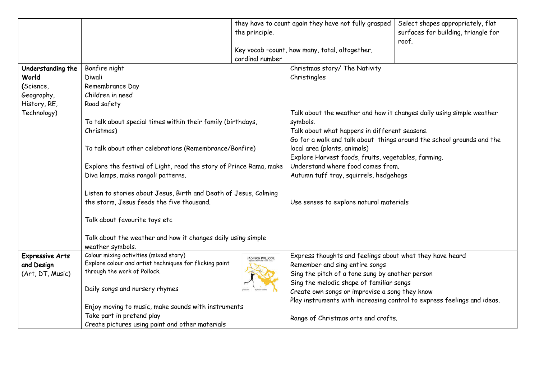|                        |                                                                                                          | the principle.                                                        | they have to count again they have not fully grasped                                                                      | Select shapes appropriately, flat<br>surfaces for building, triangle for |  |  |
|------------------------|----------------------------------------------------------------------------------------------------------|-----------------------------------------------------------------------|---------------------------------------------------------------------------------------------------------------------------|--------------------------------------------------------------------------|--|--|
|                        |                                                                                                          |                                                                       |                                                                                                                           | roof.                                                                    |  |  |
|                        |                                                                                                          |                                                                       | Key vocab -count, how many, total, altogether,                                                                            |                                                                          |  |  |
|                        |                                                                                                          | cardinal number                                                       |                                                                                                                           |                                                                          |  |  |
| Understanding the      | Bonfire night                                                                                            |                                                                       | Christmas story/ The Nativity                                                                                             |                                                                          |  |  |
| World                  | Diwali                                                                                                   |                                                                       | Christingles                                                                                                              |                                                                          |  |  |
| (Science,              | Remembrance Day                                                                                          |                                                                       |                                                                                                                           |                                                                          |  |  |
| Geography,             | Children in need                                                                                         |                                                                       |                                                                                                                           |                                                                          |  |  |
| History, RE,           | Road safety                                                                                              |                                                                       |                                                                                                                           |                                                                          |  |  |
| Technology)            |                                                                                                          |                                                                       | Talk about the weather and how it changes daily using simple weather                                                      |                                                                          |  |  |
|                        | To talk about special times within their family (birthdays,                                              |                                                                       | symbols.                                                                                                                  |                                                                          |  |  |
|                        | Christmas)                                                                                               |                                                                       | Talk about what happens in different seasons.                                                                             |                                                                          |  |  |
|                        |                                                                                                          | Go for a walk and talk about things around the school grounds and the |                                                                                                                           |                                                                          |  |  |
|                        | To talk about other celebrations (Remembrance/Bonfire)                                                   |                                                                       | local area (plants, animals)<br>Explore Harvest foods, fruits, vegetables, farming.<br>Understand where food comes from.  |                                                                          |  |  |
|                        |                                                                                                          |                                                                       |                                                                                                                           |                                                                          |  |  |
|                        | Explore the festival of Light, read the story of Prince Rama, make<br>Diva lamps, make rangoli patterns. |                                                                       | Autumn tuff tray, squirrels, hedgehogs                                                                                    |                                                                          |  |  |
|                        |                                                                                                          |                                                                       |                                                                                                                           |                                                                          |  |  |
|                        | Listen to stories about Jesus, Birth and Death of Jesus, Calming                                         |                                                                       |                                                                                                                           |                                                                          |  |  |
|                        | the storm, Jesus feeds the five thousand.                                                                |                                                                       | Use senses to explore natural materials                                                                                   |                                                                          |  |  |
|                        |                                                                                                          |                                                                       |                                                                                                                           |                                                                          |  |  |
|                        | Talk about favourite toys etc                                                                            |                                                                       |                                                                                                                           |                                                                          |  |  |
|                        |                                                                                                          |                                                                       |                                                                                                                           |                                                                          |  |  |
|                        | Talk about the weather and how it changes daily using simple                                             |                                                                       |                                                                                                                           |                                                                          |  |  |
|                        | weather symbols.                                                                                         |                                                                       |                                                                                                                           |                                                                          |  |  |
| <b>Expressive Arts</b> | Colour mixing activities (mixed story)                                                                   | <b>JACKSON POLLOCK</b>                                                | Express thoughts and feelings about what they have heard                                                                  |                                                                          |  |  |
| and Design             | Explore colour and artist techniques for flicking paint                                                  |                                                                       | Remember and sing entire songs                                                                                            |                                                                          |  |  |
| (Art, DT, Music)       | through the work of Pollock.                                                                             |                                                                       | Sing the pitch of a tone sung by another person<br>Sing the melodic shape of familiar songs                               |                                                                          |  |  |
|                        |                                                                                                          |                                                                       |                                                                                                                           |                                                                          |  |  |
|                        | Daily songs and nursery rhymes                                                                           |                                                                       | Create own songs or improvise a song they know<br>Play instruments with increasing control to express feelings and ideas. |                                                                          |  |  |
|                        |                                                                                                          |                                                                       |                                                                                                                           |                                                                          |  |  |
|                        | Enjoy moving to music, make sounds with instruments                                                      |                                                                       |                                                                                                                           |                                                                          |  |  |
|                        | Take part in pretend play                                                                                |                                                                       | Range of Christmas arts and crafts.                                                                                       |                                                                          |  |  |
|                        | Create pictures using paint and other materials                                                          |                                                                       |                                                                                                                           |                                                                          |  |  |